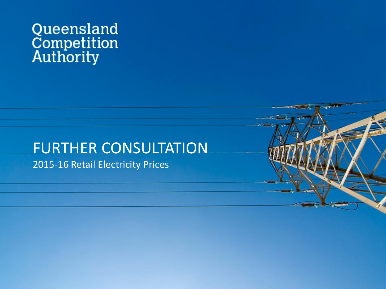# Queensland<br>Competition<br>Authority

## FURTHER CONSULTATION

2015-16 Retail Electricity Prices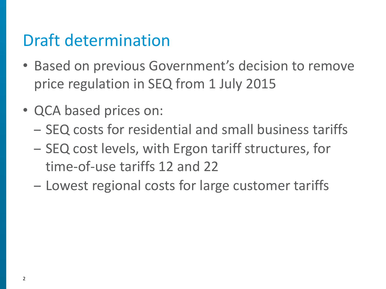## Draft determination

- Based on previous Government's decision to remove price regulation in SEQ from 1 July 2015
- QCA based prices on:
	- SEQ costs for residential and small business tariffs
	- SEQ cost levels, with Ergon tariff structures, for time-of-use tariffs 12 and 22
	- Lowest regional costs for large customer tariffs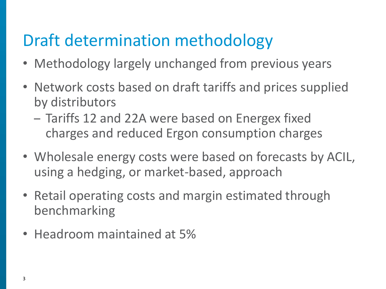## Draft determination methodology

- Methodology largely unchanged from previous years
- Network costs based on draft tariffs and prices supplied by distributors
	- Tariffs 12 and 22A were based on Energex fixed charges and reduced Ergon consumption charges
- Wholesale energy costs were based on forecasts by ACIL, using a hedging, or market-based, approach
- Retail operating costs and margin estimated through benchmarking
- Headroom maintained at 5%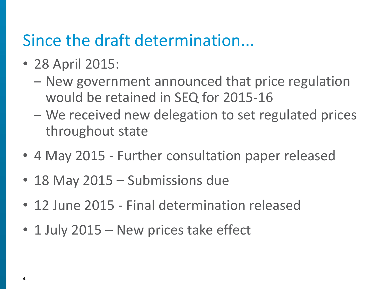### Since the draft determination...

- 28 April 2015:
	- New government announced that price regulation would be retained in SEQ for 2015-16
	- We received new delegation to set regulated prices throughout state
- 4 May 2015 Further consultation paper released
- 18 May 2015 Submissions due
- 12 June 2015 Final determination released
- 1 July 2015 New prices take effect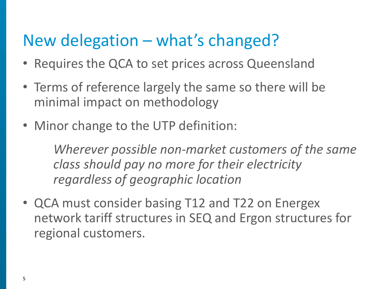## New delegation – what's changed?

- Requires the QCA to set prices across Queensland
- Terms of reference largely the same so there will be minimal impact on methodology
- Minor change to the UTP definition:

*Wherever possible non-market customers of the same class should pay no more for their electricity regardless of geographic location*

• QCA must consider basing T12 and T22 on Energex network tariff structures in SEQ and Ergon structures for regional customers.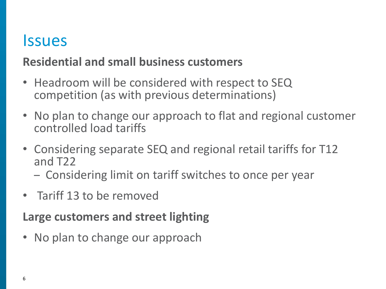### **Issues**

#### **Residential and small business customers**

- Headroom will be considered with respect to SEQ competition (as with previous determinations)
- No plan to change our approach to flat and regional customer controlled load tariffs
- Considering separate SEQ and regional retail tariffs for T12 and T22
	- Considering limit on tariff switches to once per year
- Tariff 13 to be removed

#### **Large customers and street lighting**

• No plan to change our approach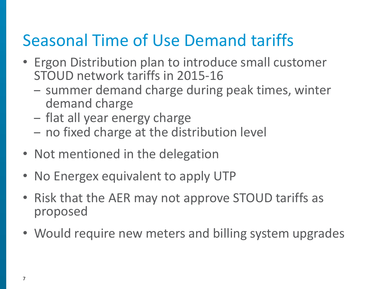## Seasonal Time of Use Demand tariffs

- Ergon Distribution plan to introduce small customer STOUD network tariffs in 2015-16
	- summer demand charge during peak times, winter demand charge
	- flat all year energy charge
	- no fixed charge at the distribution level
- Not mentioned in the delegation
- No Energex equivalent to apply UTP
- Risk that the AER may not approve STOUD tariffs as proposed
- Would require new meters and billing system upgrades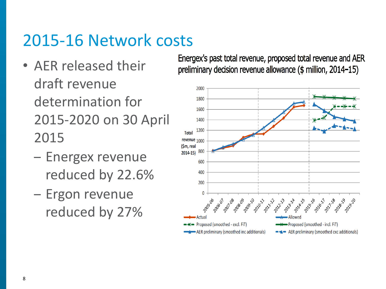## 2015-16 Network costs

- AER released their draft revenue determination for 2015-2020 on 30 April 2015
	- Energex revenue reduced by 22.6%
	- Ergon revenue reduced by 27%

Energex's past total revenue, proposed total revenue and AER preliminary decision revenue allowance (\$ million, 2014-15)

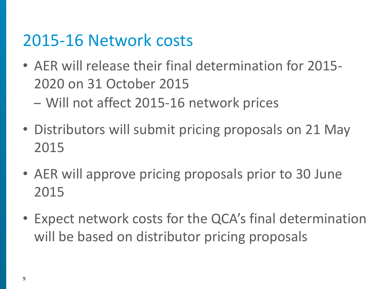## 2015-16 Network costs

- AER will release their final determination for 2015- 2020 on 31 October 2015 – Will not affect 2015-16 network prices
- Distributors will submit pricing proposals on 21 May 2015
- AER will approve pricing proposals prior to 30 June 2015
- Expect network costs for the QCA's final determination will be based on distributor pricing proposals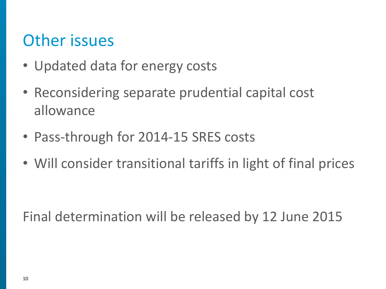## Other issues

- Updated data for energy costs
- Reconsidering separate prudential capital cost allowance
- Pass-through for 2014-15 SRES costs
- Will consider transitional tariffs in light of final prices

Final determination will be released by 12 June 2015